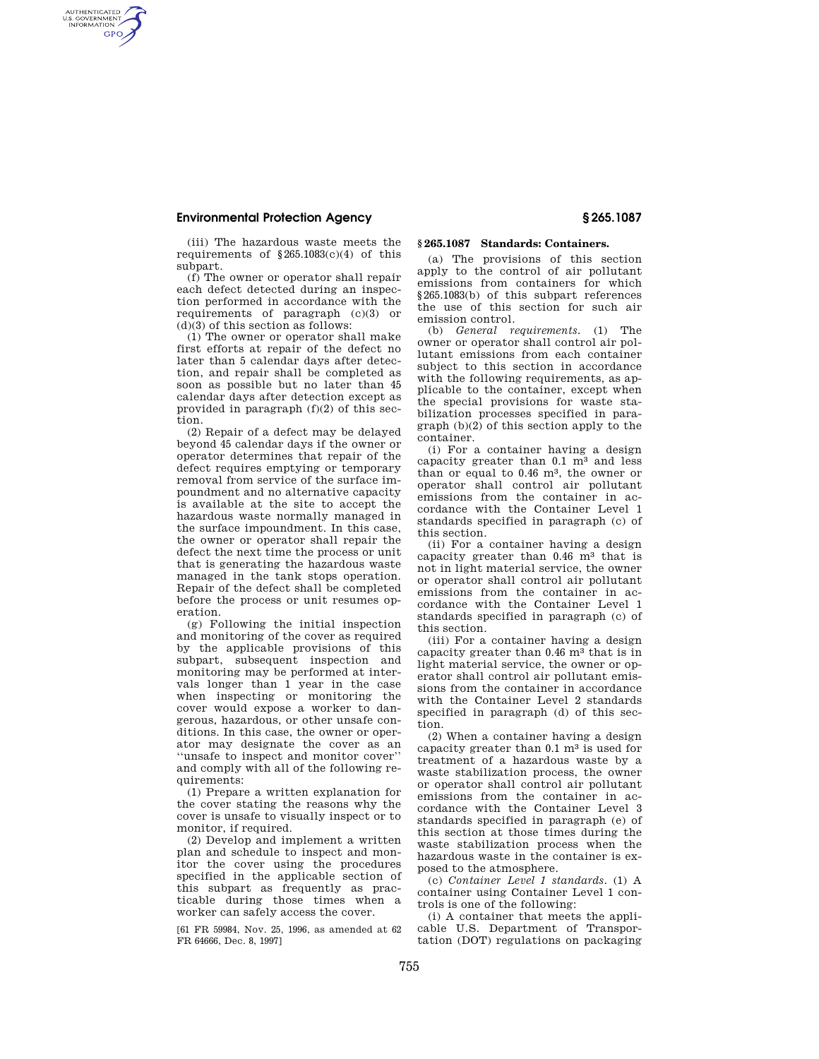AUTHENTICATED<br>U.S. GOVERNMENT<br>INFORMATION **GPO** 

> (iii) The hazardous waste meets the requirements of  $$265.1083(c)(4)$  of this subpart.

> (f) The owner or operator shall repair each defect detected during an inspection performed in accordance with the requirements of paragraph (c)(3) or  $(d)(3)$  of this section as follows:

> (1) The owner or operator shall make first efforts at repair of the defect no later than 5 calendar days after detection, and repair shall be completed as soon as possible but no later than 45 calendar days after detection except as provided in paragraph (f)(2) of this section.

> (2) Repair of a defect may be delayed beyond 45 calendar days if the owner or operator determines that repair of the defect requires emptying or temporary removal from service of the surface impoundment and no alternative capacity is available at the site to accept the hazardous waste normally managed in the surface impoundment. In this case, the owner or operator shall repair the defect the next time the process or unit that is generating the hazardous waste managed in the tank stops operation. Repair of the defect shall be completed before the process or unit resumes operation.

> (g) Following the initial inspection and monitoring of the cover as required by the applicable provisions of this subpart, subsequent inspection and monitoring may be performed at intervals longer than 1 year in the case when inspecting or monitoring the cover would expose a worker to dangerous, hazardous, or other unsafe conditions. In this case, the owner or operator may designate the cover as an ''unsafe to inspect and monitor cover'' and comply with all of the following requirements:

> (1) Prepare a written explanation for the cover stating the reasons why the cover is unsafe to visually inspect or to monitor, if required.

> (2) Develop and implement a written plan and schedule to inspect and monitor the cover using the procedures specified in the applicable section of this subpart as frequently as practicable during those times when a worker can safely access the cover.

> [61 FR 59984, Nov. 25, 1996, as amended at 62 FR 64666, Dec. 8, 1997]

## **§ 265.1087 Standards: Containers.**

(a) The provisions of this section apply to the control of air pollutant emissions from containers for which §265.1083(b) of this subpart references the use of this section for such air emission control.

(b) *General requirements.* (1) The owner or operator shall control air pollutant emissions from each container subject to this section in accordance with the following requirements, as applicable to the container, except when the special provisions for waste stabilization processes specified in paragraph (b)(2) of this section apply to the container.

(i) For a container having a design capacity greater than 0.1 m3 and less than or equal to 0.46 m3, the owner or operator shall control air pollutant emissions from the container in accordance with the Container Level 1 standards specified in paragraph (c) of this section.

(ii) For a container having a design capacity greater than 0.46 m3 that is not in light material service, the owner or operator shall control air pollutant emissions from the container in accordance with the Container Level 1 standards specified in paragraph (c) of this section.

(iii) For a container having a design capacity greater than 0.46 m3 that is in light material service, the owner or operator shall control air pollutant emissions from the container in accordance with the Container Level 2 standards specified in paragraph (d) of this section.

(2) When a container having a design capacity greater than  $0.1 \text{ m}^3$  is used for treatment of a hazardous waste by a waste stabilization process, the owner or operator shall control air pollutant emissions from the container in accordance with the Container Level 3 standards specified in paragraph (e) of this section at those times during the waste stabilization process when the hazardous waste in the container is exposed to the atmosphere.

(c) *Container Level 1 standards.* (1) A container using Container Level 1 controls is one of the following:

(i) A container that meets the applicable U.S. Department of Transportation (DOT) regulations on packaging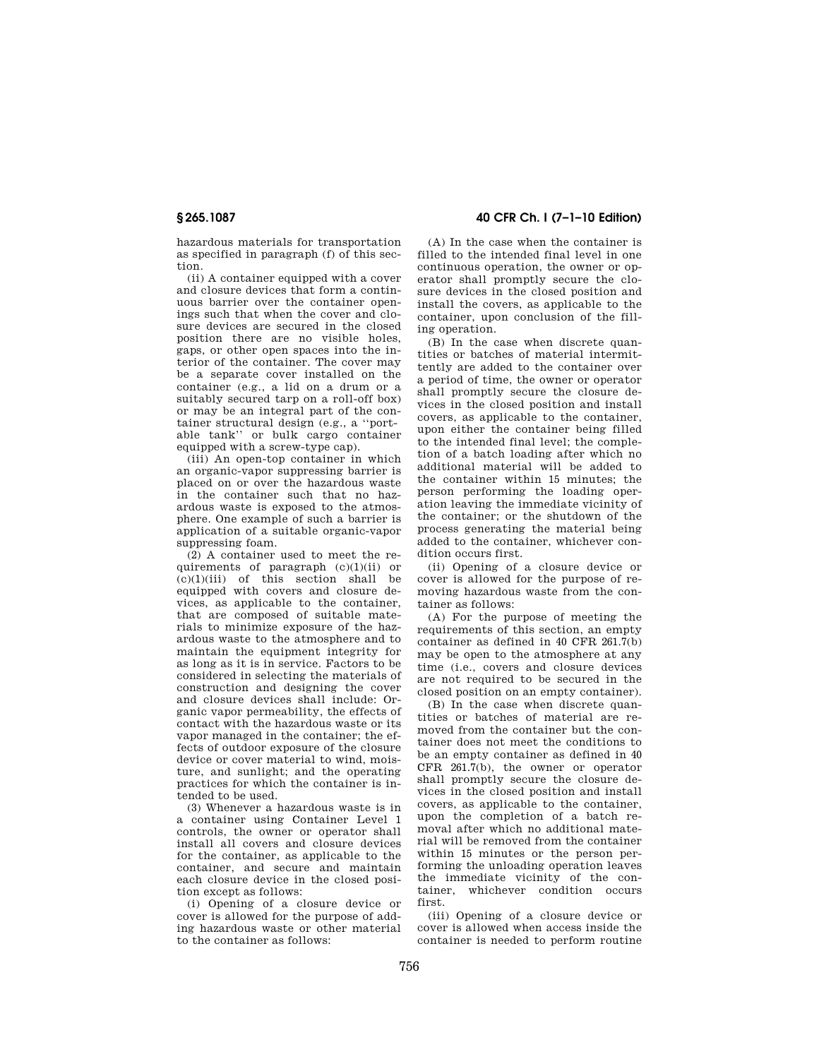hazardous materials for transportation as specified in paragraph (f) of this section.

(ii) A container equipped with a cover and closure devices that form a continuous barrier over the container openings such that when the cover and closure devices are secured in the closed position there are no visible holes, gaps, or other open spaces into the interior of the container. The cover may be a separate cover installed on the container (e.g., a lid on a drum or a suitably secured tarp on a roll-off box) or may be an integral part of the container structural design (e.g., a ''portable tank'' or bulk cargo container equipped with a screw-type cap).

(iii) An open-top container in which an organic-vapor suppressing barrier is placed on or over the hazardous waste in the container such that no hazardous waste is exposed to the atmosphere. One example of such a barrier is application of a suitable organic-vapor suppressing foam.

(2) A container used to meet the requirements of paragraph (c)(1)(ii) or  $(c)(1)(iii)$  of this section shall be equipped with covers and closure devices, as applicable to the container, that are composed of suitable materials to minimize exposure of the hazardous waste to the atmosphere and to maintain the equipment integrity for as long as it is in service. Factors to be considered in selecting the materials of construction and designing the cover and closure devices shall include: Organic vapor permeability, the effects of contact with the hazardous waste or its vapor managed in the container; the effects of outdoor exposure of the closure device or cover material to wind, moisture, and sunlight; and the operating practices for which the container is intended to be used.

(3) Whenever a hazardous waste is in a container using Container Level 1 controls, the owner or operator shall install all covers and closure devices for the container, as applicable to the container, and secure and maintain each closure device in the closed position except as follows:

(i) Opening of a closure device or cover is allowed for the purpose of adding hazardous waste or other material to the container as follows:

**§ 265.1087 40 CFR Ch. I (7–1–10 Edition)** 

(A) In the case when the container is filled to the intended final level in one continuous operation, the owner or operator shall promptly secure the closure devices in the closed position and install the covers, as applicable to the container, upon conclusion of the filling operation.

(B) In the case when discrete quantities or batches of material intermittently are added to the container over a period of time, the owner or operator shall promptly secure the closure devices in the closed position and install covers, as applicable to the container, upon either the container being filled to the intended final level; the completion of a batch loading after which no additional material will be added to the container within 15 minutes; the person performing the loading operation leaving the immediate vicinity of the container; or the shutdown of the process generating the material being added to the container, whichever condition occurs first.

(ii) Opening of a closure device or cover is allowed for the purpose of removing hazardous waste from the container as follows:

(A) For the purpose of meeting the requirements of this section, an empty container as defined in 40 CFR 261.7(b) may be open to the atmosphere at any time (i.e., covers and closure devices are not required to be secured in the closed position on an empty container).

(B) In the case when discrete quantities or batches of material are removed from the container but the container does not meet the conditions to be an empty container as defined in 40 CFR 261.7(b), the owner or operator shall promptly secure the closure devices in the closed position and install covers, as applicable to the container, upon the completion of a batch removal after which no additional material will be removed from the container within 15 minutes or the person performing the unloading operation leaves the immediate vicinity of the container, whichever condition occurs first.

(iii) Opening of a closure device or cover is allowed when access inside the container is needed to perform routine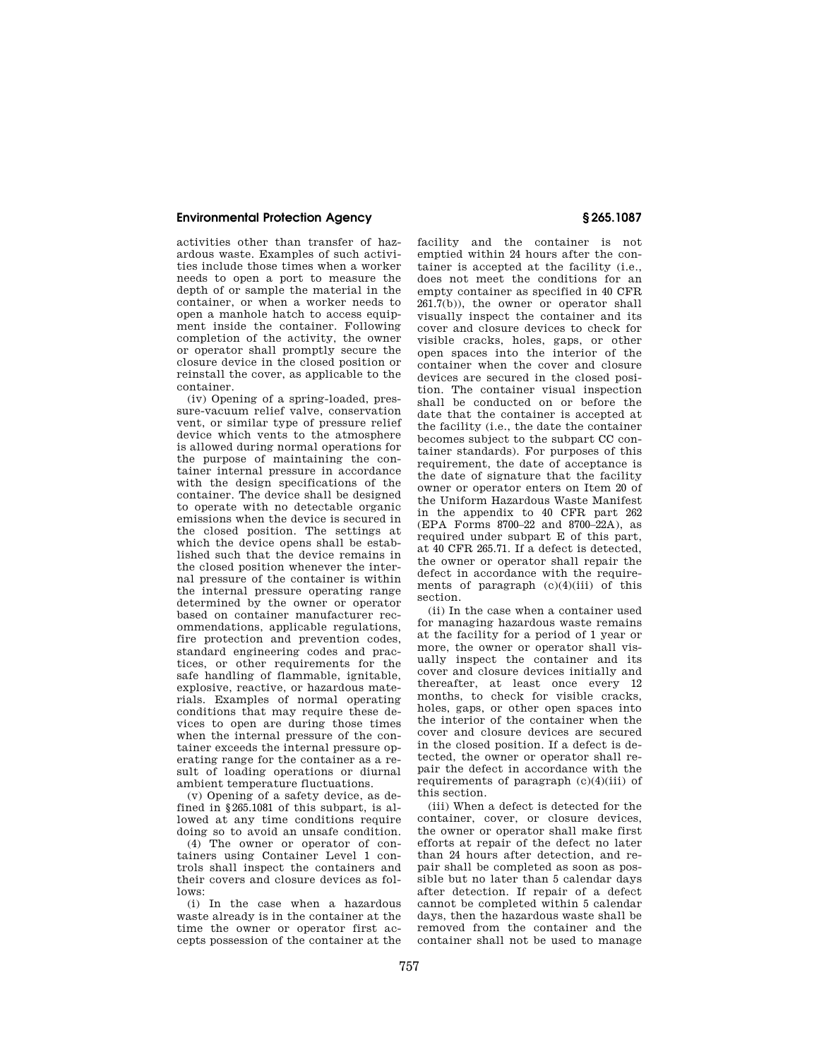activities other than transfer of hazardous waste. Examples of such activities include those times when a worker needs to open a port to measure the depth of or sample the material in the container, or when a worker needs to open a manhole hatch to access equipment inside the container. Following completion of the activity, the owner or operator shall promptly secure the closure device in the closed position or reinstall the cover, as applicable to the container.

(iv) Opening of a spring-loaded, pressure-vacuum relief valve, conservation vent, or similar type of pressure relief device which vents to the atmosphere is allowed during normal operations for the purpose of maintaining the container internal pressure in accordance with the design specifications of the container. The device shall be designed to operate with no detectable organic emissions when the device is secured in the closed position. The settings at which the device opens shall be established such that the device remains in the closed position whenever the internal pressure of the container is within the internal pressure operating range determined by the owner or operator based on container manufacturer recommendations, applicable regulations, fire protection and prevention codes, standard engineering codes and practices, or other requirements for the safe handling of flammable, ignitable, explosive, reactive, or hazardous materials. Examples of normal operating conditions that may require these devices to open are during those times when the internal pressure of the container exceeds the internal pressure operating range for the container as a result of loading operations or diurnal ambient temperature fluctuations.

(v) Opening of a safety device, as defined in §265.1081 of this subpart, is allowed at any time conditions require doing so to avoid an unsafe condition.

(4) The owner or operator of containers using Container Level 1 controls shall inspect the containers and their covers and closure devices as follows:

(i) In the case when a hazardous waste already is in the container at the time the owner or operator first accepts possession of the container at the

facility and the container is not emptied within 24 hours after the container is accepted at the facility (i.e., does not meet the conditions for an empty container as specified in 40 CFR 261.7(b)), the owner or operator shall visually inspect the container and its cover and closure devices to check for visible cracks, holes, gaps, or other open spaces into the interior of the container when the cover and closure devices are secured in the closed position. The container visual inspection shall be conducted on or before the date that the container is accepted at the facility (i.e., the date the container becomes subject to the subpart CC container standards). For purposes of this requirement, the date of acceptance is the date of signature that the facility owner or operator enters on Item 20 of the Uniform Hazardous Waste Manifest in the appendix to 40 CFR part 262 (EPA Forms 8700–22 and 8700–22A), as required under subpart E of this part, at 40 CFR 265.71. If a defect is detected, the owner or operator shall repair the defect in accordance with the requirements of paragraph  $(c)(4)(iii)$  of this section.

(ii) In the case when a container used for managing hazardous waste remains at the facility for a period of 1 year or more, the owner or operator shall visually inspect the container and its cover and closure devices initially and thereafter, at least once every 12 months, to check for visible cracks, holes, gaps, or other open spaces into the interior of the container when the cover and closure devices are secured in the closed position. If a defect is detected, the owner or operator shall repair the defect in accordance with the requirements of paragraph (c)(4)(iii) of this section.

(iii) When a defect is detected for the container, cover, or closure devices, the owner or operator shall make first efforts at repair of the defect no later than 24 hours after detection, and repair shall be completed as soon as possible but no later than 5 calendar days after detection. If repair of a defect cannot be completed within 5 calendar days, then the hazardous waste shall be removed from the container and the container shall not be used to manage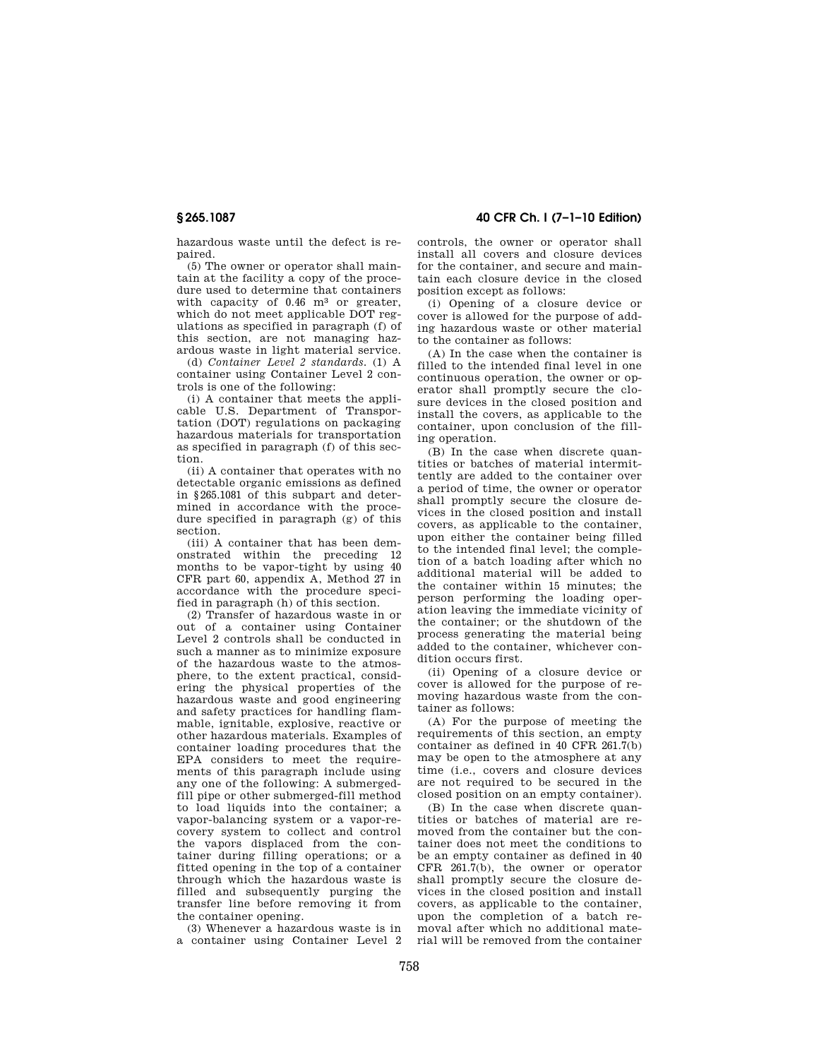hazardous waste until the defect is repaired.

(5) The owner or operator shall maintain at the facility a copy of the procedure used to determine that containers with capacity of 0.46 m<sup>3</sup> or greater, which do not meet applicable DOT regulations as specified in paragraph (f) of this section, are not managing hazardous waste in light material service.

(d) *Container Level 2 standards.* (1) A container using Container Level 2 controls is one of the following:

(i) A container that meets the applicable U.S. Department of Transportation (DOT) regulations on packaging hazardous materials for transportation as specified in paragraph (f) of this section.

(ii) A container that operates with no detectable organic emissions as defined in §265.1081 of this subpart and determined in accordance with the procedure specified in paragraph (g) of this section.

(iii) A container that has been demonstrated within the preceding 12 months to be vapor-tight by using 40 CFR part 60, appendix A, Method 27 in accordance with the procedure specified in paragraph (h) of this section.

(2) Transfer of hazardous waste in or out of a container using Container Level 2 controls shall be conducted in such a manner as to minimize exposure of the hazardous waste to the atmosphere, to the extent practical, considering the physical properties of the hazardous waste and good engineering and safety practices for handling flammable, ignitable, explosive, reactive or other hazardous materials. Examples of container loading procedures that the EPA considers to meet the requirements of this paragraph include using any one of the following: A submergedfill pipe or other submerged-fill method to load liquids into the container; a vapor-balancing system or a vapor-recovery system to collect and control the vapors displaced from the container during filling operations; or a fitted opening in the top of a container through which the hazardous waste is filled and subsequently purging the transfer line before removing it from the container opening.

(3) Whenever a hazardous waste is in a container using Container Level 2 controls, the owner or operator shall install all covers and closure devices for the container, and secure and maintain each closure device in the closed position except as follows:

(i) Opening of a closure device or cover is allowed for the purpose of adding hazardous waste or other material to the container as follows:

(A) In the case when the container is filled to the intended final level in one continuous operation, the owner or operator shall promptly secure the closure devices in the closed position and install the covers, as applicable to the container, upon conclusion of the filling operation.

(B) In the case when discrete quantities or batches of material intermittently are added to the container over a period of time, the owner or operator shall promptly secure the closure devices in the closed position and install covers, as applicable to the container, upon either the container being filled to the intended final level; the completion of a batch loading after which no additional material will be added to the container within 15 minutes; the person performing the loading operation leaving the immediate vicinity of the container; or the shutdown of the process generating the material being added to the container, whichever condition occurs first.

(ii) Opening of a closure device or cover is allowed for the purpose of removing hazardous waste from the container as follows:

(A) For the purpose of meeting the requirements of this section, an empty container as defined in 40 CFR 261.7(b) may be open to the atmosphere at any time (i.e., covers and closure devices are not required to be secured in the closed position on an empty container).

(B) In the case when discrete quantities or batches of material are removed from the container but the container does not meet the conditions to be an empty container as defined in 40 CFR 261.7(b), the owner or operator shall promptly secure the closure devices in the closed position and install covers, as applicable to the container, upon the completion of a batch removal after which no additional material will be removed from the container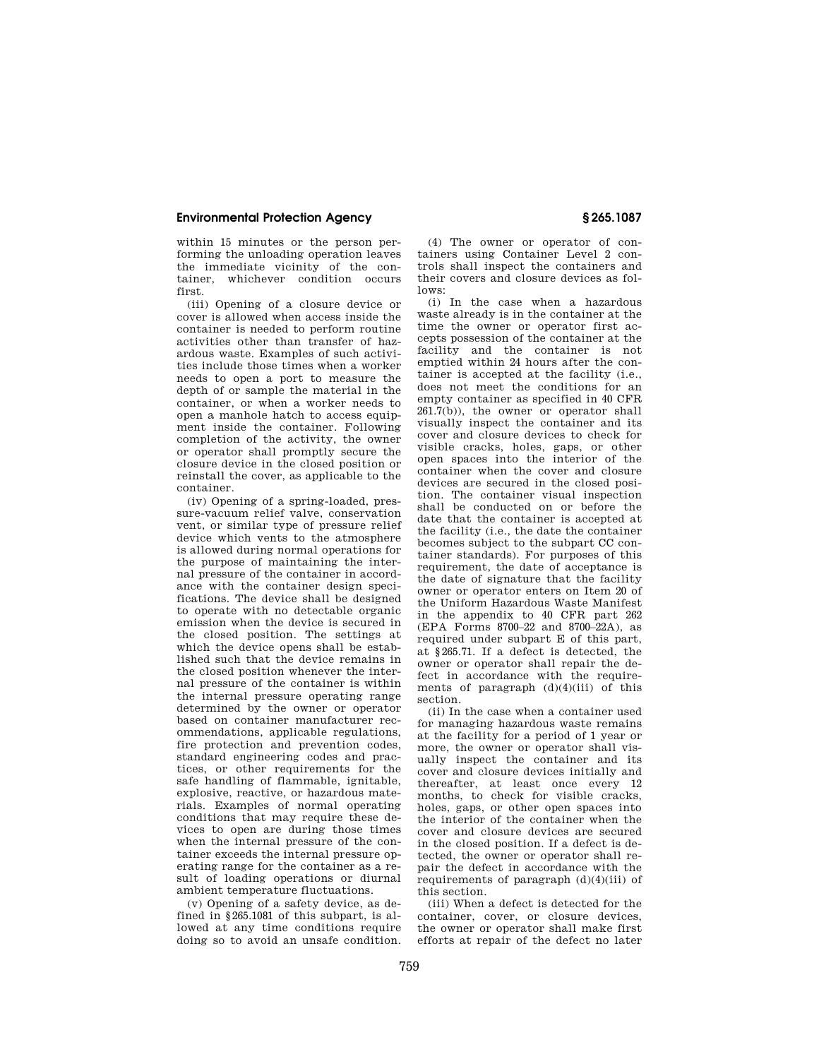within 15 minutes or the person performing the unloading operation leaves the immediate vicinity of the container, whichever condition occurs first.

(iii) Opening of a closure device or cover is allowed when access inside the container is needed to perform routine activities other than transfer of hazardous waste. Examples of such activities include those times when a worker needs to open a port to measure the depth of or sample the material in the container, or when a worker needs to open a manhole hatch to access equipment inside the container. Following completion of the activity, the owner or operator shall promptly secure the closure device in the closed position or reinstall the cover, as applicable to the container.

(iv) Opening of a spring-loaded, pressure-vacuum relief valve, conservation vent, or similar type of pressure relief device which vents to the atmosphere is allowed during normal operations for the purpose of maintaining the internal pressure of the container in accordance with the container design specifications. The device shall be designed to operate with no detectable organic emission when the device is secured in the closed position. The settings at which the device opens shall be established such that the device remains in the closed position whenever the internal pressure of the container is within the internal pressure operating range determined by the owner or operator based on container manufacturer recommendations, applicable regulations, fire protection and prevention codes, standard engineering codes and practices, or other requirements for the safe handling of flammable, ignitable, explosive, reactive, or hazardous materials. Examples of normal operating conditions that may require these devices to open are during those times when the internal pressure of the container exceeds the internal pressure operating range for the container as a result of loading operations or diurnal ambient temperature fluctuations.

(v) Opening of a safety device, as defined in §265.1081 of this subpart, is allowed at any time conditions require doing so to avoid an unsafe condition.

(4) The owner or operator of containers using Container Level 2 controls shall inspect the containers and their covers and closure devices as follows:

(i) In the case when a hazardous waste already is in the container at the time the owner or operator first accepts possession of the container at the facility and the container is not emptied within 24 hours after the container is accepted at the facility (i.e., does not meet the conditions for an empty container as specified in 40 CFR  $261.7(b)$ , the owner or operator shall visually inspect the container and its cover and closure devices to check for visible cracks, holes, gaps, or other open spaces into the interior of the container when the cover and closure devices are secured in the closed position. The container visual inspection shall be conducted on or before the date that the container is accepted at the facility (i.e., the date the container becomes subject to the subpart CC container standards). For purposes of this requirement, the date of acceptance is the date of signature that the facility owner or operator enters on Item 20 of the Uniform Hazardous Waste Manifest in the appendix to 40 CFR part 262 (EPA Forms 8700–22 and 8700–22A), as required under subpart E of this part, at §265.71. If a defect is detected, the owner or operator shall repair the defect in accordance with the requirements of paragraph  $(d)(4)(iii)$  of this section.

(ii) In the case when a container used for managing hazardous waste remains at the facility for a period of 1 year or more, the owner or operator shall visually inspect the container and its cover and closure devices initially and thereafter, at least once every 12 months, to check for visible cracks. holes, gaps, or other open spaces into the interior of the container when the cover and closure devices are secured in the closed position. If a defect is detected, the owner or operator shall repair the defect in accordance with the requirements of paragraph  $(d)(4)(iii)$  of this section.

(iii) When a defect is detected for the container, cover, or closure devices. the owner or operator shall make first efforts at repair of the defect no later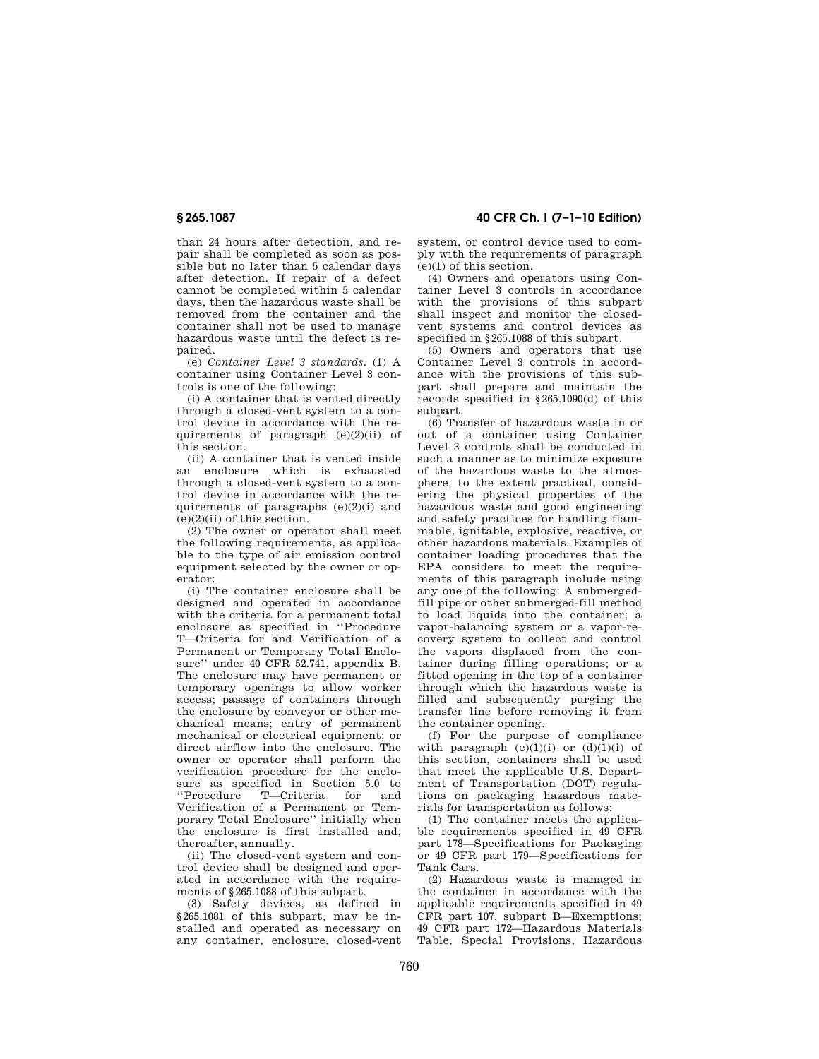than 24 hours after detection, and repair shall be completed as soon as possible but no later than 5 calendar days after detection. If repair of a defect cannot be completed within 5 calendar days, then the hazardous waste shall be removed from the container and the container shall not be used to manage hazardous waste until the defect is repaired.

(e) *Container Level 3 standards.* (1) A container using Container Level 3 controls is one of the following:

(i) A container that is vented directly through a closed-vent system to a control device in accordance with the requirements of paragraph  $(e)(2)(ii)$  of this section.

(ii) A container that is vented inside an enclosure which is exhausted through a closed-vent system to a control device in accordance with the requirements of paragraphs (e)(2)(i) and  $(e)(2)(ii)$  of this section.

(2) The owner or operator shall meet the following requirements, as applicable to the type of air emission control equipment selected by the owner or operator:

(i) The container enclosure shall be designed and operated in accordance with the criteria for a permanent total enclosure as specified in ''Procedure T—Criteria for and Verification of a Permanent or Temporary Total Enclosure'' under 40 CFR 52.741, appendix B. The enclosure may have permanent or temporary openings to allow worker access; passage of containers through the enclosure by conveyor or other mechanical means; entry of permanent mechanical or electrical equipment; or direct airflow into the enclosure. The owner or operator shall perform the verification procedure for the enclosure as specified in Section 5.0 to<br>"Procedure T—Criteria for and T—Criteria for and Verification of a Permanent or Temporary Total Enclosure'' initially when the enclosure is first installed and, thereafter, annually.

(ii) The closed-vent system and control device shall be designed and operated in accordance with the requirements of §265.1088 of this subpart.

(3) Safety devices, as defined in §265.1081 of this subpart, may be installed and operated as necessary on any container, enclosure, closed-vent

**§ 265.1087 40 CFR Ch. I (7–1–10 Edition)** 

system, or control device used to comply with the requirements of paragraph (e)(1) of this section.

(4) Owners and operators using Container Level 3 controls in accordance with the provisions of this subpart shall inspect and monitor the closedvent systems and control devices as specified in §265.1088 of this subpart.

(5) Owners and operators that use Container Level 3 controls in accordance with the provisions of this subpart shall prepare and maintain the records specified in §265.1090(d) of this subpart.

(6) Transfer of hazardous waste in or out of a container using Container Level 3 controls shall be conducted in such a manner as to minimize exposure of the hazardous waste to the atmosphere, to the extent practical, considering the physical properties of the hazardous waste and good engineering and safety practices for handling flammable, ignitable, explosive, reactive, or other hazardous materials. Examples of container loading procedures that the EPA considers to meet the requirements of this paragraph include using any one of the following: A submergedfill pipe or other submerged-fill method to load liquids into the container; a vapor-balancing system or a vapor-recovery system to collect and control the vapors displaced from the container during filling operations; or a fitted opening in the top of a container through which the hazardous waste is filled and subsequently purging the transfer line before removing it from the container opening.

(f) For the purpose of compliance with paragraph  $(c)(1)(i)$  or  $(d)(1)(i)$  of this section, containers shall be used that meet the applicable U.S. Department of Transportation (DOT) regulations on packaging hazardous materials for transportation as follows:

(1) The container meets the applicable requirements specified in 49 CFR part 178—Specifications for Packaging or 49 CFR part 179—Specifications for Tank Cars.

(2) Hazardous waste is managed in the container in accordance with the applicable requirements specified in 49 CFR part 107, subpart B—Exemptions; 49 CFR part 172—Hazardous Materials Table, Special Provisions, Hazardous